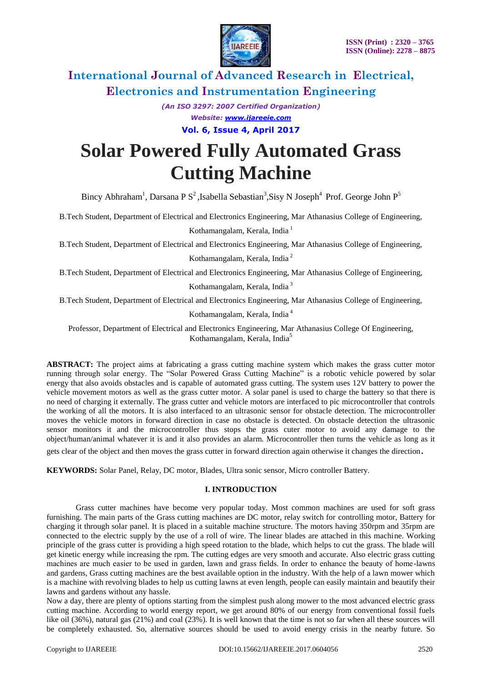

*(An ISO 3297: 2007 Certified Organization) Website: [www.ijareeie.com](http://www.ijareeie.com/)* **Vol. 6, Issue 4, April 2017**

# **Solar Powered Fully Automated Grass Cutting Machine**

Bincy Abhraham<sup>1</sup>, Darsana P S<sup>2</sup>, Isabella Sebastian<sup>3</sup>, Sisy N Joseph<sup>4</sup> Prof. George John P<sup>5</sup>

B.Tech Student, Department of Electrical and Electronics Engineering, Mar Athanasius College of Engineering, Kothamangalam, Kerala, India<sup>1</sup>

B.Tech Student, Department of Electrical and Electronics Engineering, Mar Athanasius College of Engineering, Kothamangalam, Kerala, India <sup>2</sup>

B.Tech Student, Department of Electrical and Electronics Engineering, Mar Athanasius College of Engineering, Kothamangalam, Kerala, India <sup>3</sup>

B.Tech Student, Department of Electrical and Electronics Engineering, Mar Athanasius College of Engineering,

Kothamangalam, Kerala, India <sup>4</sup>

Professor, Department of Electrical and Electronics Engineering, Mar Athanasius College Of Engineering, Kothamangalam, Kerala, India<sup>3</sup>

**ABSTRACT:** The project aims at fabricating a grass cutting machine system which makes the grass cutter motor running through solar energy. The "Solar Powered Grass Cutting Machine" is a robotic vehicle powered by solar energy that also avoids obstacles and is capable of automated grass cutting. The system uses 12V battery to power the vehicle movement motors as well as the grass cutter motor. A solar panel is used to charge the battery so that there is no need of charging it externally. The grass cutter and vehicle motors are interfaced to pic microcontroller that controls the working of all the motors. It is also interfaced to an ultrasonic sensor for obstacle detection. The microcontroller moves the vehicle motors in forward direction in case no obstacle is detected. On obstacle detection the ultrasonic sensor monitors it and the microcontroller thus stops the grass cuter motor to avoid any damage to the object/human/animal whatever it is and it also provides an alarm. Microcontroller then turns the vehicle as long as it

gets clear of the object and then moves the grass cutter in forward direction again otherwise it changes the direction.

**KEYWORDS:** Solar Panel, Relay, DC motor, Blades, Ultra sonic sensor, Micro controller Battery.

### **I. INTRODUCTION**

Grass cutter machines have become very popular today. Most common machines are used for soft grass furnishing. The main parts of the Grass cutting machines are DC motor, relay switch for controlling motor, Battery for charging it through solar panel. It is placed in a suitable machine structure. The motors having 350rpm and 35rpm are connected to the electric supply by the use of a roll of wire. The linear blades are attached in this machine. Working principle of the grass cutter is providing a high speed rotation to the blade, which helps to cut the grass. The blade will get kinetic energy while increasing the rpm. The cutting edges are very smooth and accurate. Also electric grass cutting machines are much easier to be used in garden, lawn and grass fields. In order to enhance the beauty of home-lawns and gardens, Grass cutting machines are the best available option in the industry. With the help of a lawn mower which is a machine with revolving blades to help us cutting lawns at even length, people can easily maintain and beautify their lawns and gardens without any hassle.

Now a day, there are plenty of options starting from the simplest push along mower to the most advanced electric grass cutting machine. According to world energy report, we get around 80% of our energy from conventional fossil fuels like oil (36%), natural gas (21%) and coal (23%). It is well known that the time is not so far when all these sources will be completely exhausted. So, alternative sources should be used to avoid energy crisis in the nearby future. So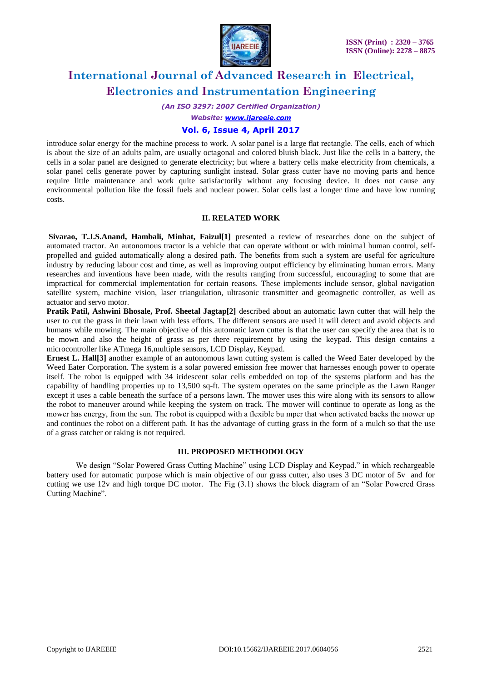

*(An ISO 3297: 2007 Certified Organization)*

*Website: [www.ijareeie.com](http://www.ijareeie.com/)*

### **Vol. 6, Issue 4, April 2017**

introduce solar energy for the machine process to work. A solar panel is a large flat rectangle. The cells, each of which is about the size of an adults palm, are usually octagonal and colored bluish black. Just like the cells in a battery, the cells in a solar panel are designed to generate electricity; but where a battery cells make electricity from chemicals, a solar panel cells generate power by capturing sunlight instead. Solar grass cutter have no moving parts and hence require little maintenance and work quite satisfactorily without any focusing device. It does not cause any environmental pollution like the fossil fuels and nuclear power. Solar cells last a longer time and have low running costs.

#### **II. RELATED WORK**

**Sivarao, T.J.S.Anand, Hambali, Minhat, Faizul[1]** presented a review of researches done on the subject of automated tractor. An autonomous tractor is a vehicle that can operate without or with minimal human control, selfpropelled and guided automatically along a desired path. The benefits from such a system are useful for agriculture industry by reducing labour cost and time, as well as improving output efficiency by eliminating human errors. Many researches and inventions have been made, with the results ranging from successful, encouraging to some that are impractical for commercial implementation for certain reasons. These implements include sensor, global navigation satellite system, machine vision, laser triangulation, ultrasonic transmitter and geomagnetic controller, as well as actuator and servo motor.

**Pratik Patil, Ashwini Bhosale, Prof. Sheetal Jagtap[2]** described about an automatic lawn cutter that will help the user to cut the grass in their lawn with less efforts. The different sensors are used it will detect and avoid objects and humans while mowing. The main objective of this automatic lawn cutter is that the user can specify the area that is to be mown and also the height of grass as per there requirement by using the keypad. This design contains a microcontroller like ATmega 16,multiple sensors, LCD Display, Keypad.

**Ernest L. Hall[3]** another example of an autonomous lawn cutting system is called the Weed Eater developed by the Weed Eater Corporation. The system is a solar powered emission free mower that harnesses enough power to operate itself. The robot is equipped with 34 iridescent solar cells embedded on top of the systems platform and has the capability of handling properties up to 13,500 sq-ft. The system operates on the same principle as the Lawn Ranger except it uses a cable beneath the surface of a persons lawn. The mower uses this wire along with its sensors to allow the robot to maneuver around while keeping the system on track. The mower will continue to operate as long as the mower has energy, from the sun. The robot is equipped with a flexible bu mper that when activated backs the mower up and continues the robot on a different path. It has the advantage of cutting grass in the form of a mulch so that the use of a grass catcher or raking is not required.

### **III. PROPOSED METHODOLOGY**

We design "Solar Powered Grass Cutting Machine" using LCD Display and Keypad." in which rechargeable battery used for automatic purpose which is main objective of our grass cutter, also uses 3 DC motor of 5v and for cutting we use 12v and high torque DC motor. The Fig (3.1) shows the block diagram of an "Solar Powered Grass Cutting Machine".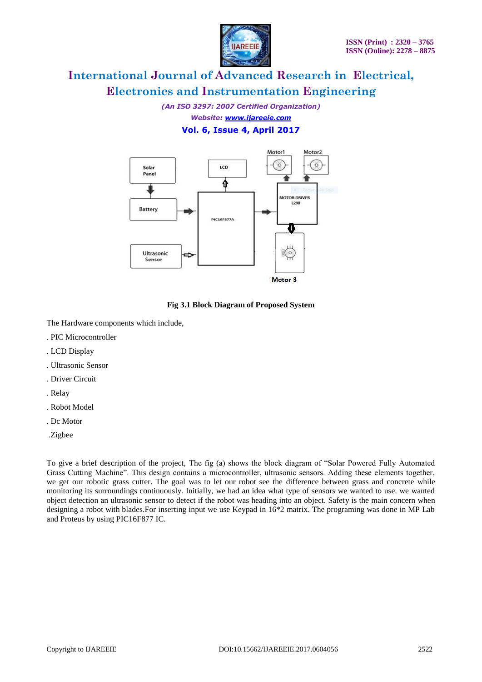

*(An ISO 3297: 2007 Certified Organization) Website: [www.ijareeie.com](http://www.ijareeie.com/)* **Vol. 6, Issue 4, April 2017**



**Fig 3.1 Block Diagram of Proposed System**

The Hardware components which include,

- . PIC Microcontroller
- . LCD Display
- . Ultrasonic Sensor
- . Driver Circuit
- . Relay
- . Robot Model
- . Dc Motor
- .Zigbee

To give a brief description of the project, The fig (a) shows the block diagram of "Solar Powered Fully Automated Grass Cutting Machine". This design contains a microcontroller, ultrasonic sensors. Adding these elements together, we get our robotic grass cutter. The goal was to let our robot see the difference between grass and concrete while monitoring its surroundings continuously. Initially, we had an idea what type of sensors we wanted to use. we wanted object detection an ultrasonic sensor to detect if the robot was heading into an object. Safety is the main concern when designing a robot with blades.For inserting input we use Keypad in 16\*2 matrix. The programing was done in MP Lab and Proteus by using PIC16F877 IC.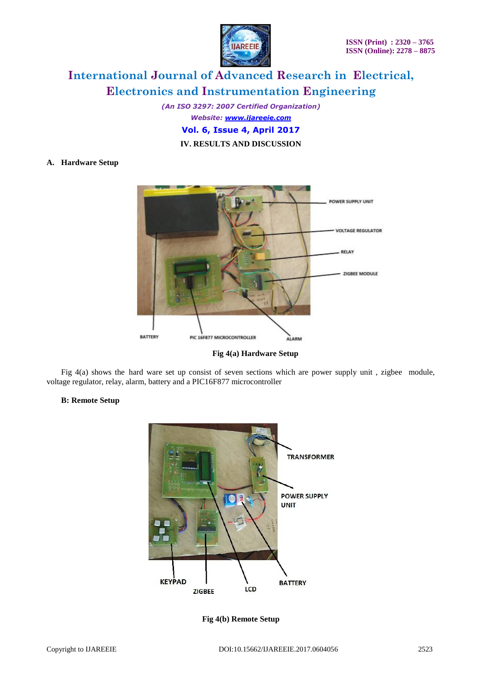

*(An ISO 3297: 2007 Certified Organization) Website: [www.ijareeie.com](http://www.ijareeie.com/)* **Vol. 6, Issue 4, April 2017 IV. RESULTS AND DISCUSSION**

### **A. Hardware Setup**



**Fig 4(a) Hardware Setup**

Fig  $4(a)$  shows the hard ware set up consist of seven sections which are power supply unit, zigbee module, voltage regulator, relay, alarm, battery and a PIC16F877 microcontroller

### **B: Remote Setup**



**Fig 4(b) Remote Setup**